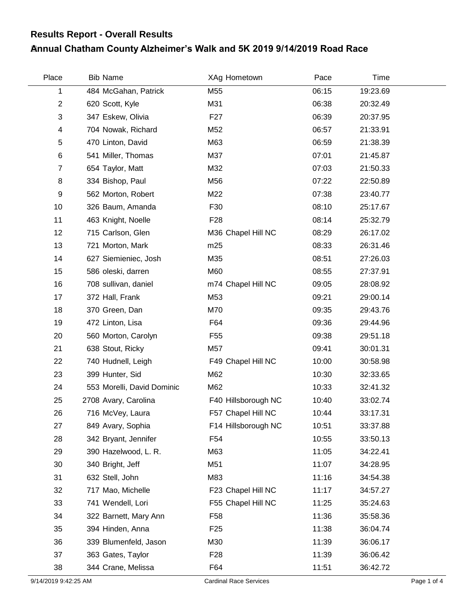## **Annual Chatham County Alzheimer's Walk and 5K 2019 9/14/2019 Road Race Results Report - Overall Results**

| Place          | <b>Bib Name</b>            | XAg Hometown        | Pace  | Time     |  |
|----------------|----------------------------|---------------------|-------|----------|--|
| 1              | 484 McGahan, Patrick       | M55                 | 06:15 | 19:23.69 |  |
| $\overline{2}$ | 620 Scott, Kyle            | M31                 | 06:38 | 20:32.49 |  |
| 3              | 347 Eskew, Olivia          | F <sub>27</sub>     | 06:39 | 20:37.95 |  |
| 4              | 704 Nowak, Richard         | M52                 | 06:57 | 21:33.91 |  |
| 5              | 470 Linton, David          | M63                 | 06:59 | 21:38.39 |  |
| 6              | 541 Miller, Thomas         | M37                 | 07:01 | 21:45.87 |  |
| $\overline{7}$ | 654 Taylor, Matt           | M32                 | 07:03 | 21:50.33 |  |
| 8              | 334 Bishop, Paul           | M56                 | 07:22 | 22:50.89 |  |
| 9              | 562 Morton, Robert         | M22                 | 07:38 | 23:40.77 |  |
| 10             | 326 Baum, Amanda           | F30                 | 08:10 | 25:17.67 |  |
| 11             | 463 Knight, Noelle         | F <sub>28</sub>     | 08:14 | 25:32.79 |  |
| 12             | 715 Carlson, Glen          | M36 Chapel Hill NC  | 08:29 | 26:17.02 |  |
| 13             | 721 Morton, Mark           | m25                 | 08:33 | 26:31.46 |  |
| 14             | 627 Siemieniec, Josh       | M35                 | 08:51 | 27:26.03 |  |
| 15             | 586 oleski, darren         | M60                 | 08:55 | 27:37.91 |  |
| 16             | 708 sullivan, daniel       | m74 Chapel Hill NC  | 09:05 | 28:08.92 |  |
| 17             | 372 Hall, Frank            | M53                 | 09:21 | 29:00.14 |  |
| 18             | 370 Green, Dan             | M70                 | 09:35 | 29:43.76 |  |
| 19             | 472 Linton, Lisa           | F64                 | 09:36 | 29:44.96 |  |
| 20             | 560 Morton, Carolyn        | F <sub>55</sub>     | 09:38 | 29:51.18 |  |
| 21             | 638 Stout, Ricky           | M57                 | 09:41 | 30:01.31 |  |
| 22             | 740 Hudnell, Leigh         | F49 Chapel Hill NC  | 10:00 | 30:58.98 |  |
| 23             | 399 Hunter, Sid            | M62                 | 10:30 | 32:33.65 |  |
| 24             | 553 Morelli, David Dominic | M62                 | 10:33 | 32:41.32 |  |
| 25             | 2708 Avary, Carolina       | F40 Hillsborough NC | 10:40 | 33:02.74 |  |
| 26             | 716 McVey, Laura           | F57 Chapel Hill NC  | 10:44 | 33:17.31 |  |
| 27             | 849 Avary, Sophia          | F14 Hillsborough NC | 10:51 | 33:37.88 |  |
| 28             | 342 Bryant, Jennifer       | F <sub>54</sub>     | 10:55 | 33:50.13 |  |
| 29             | 390 Hazelwood, L. R.       | M63                 | 11:05 | 34:22.41 |  |
| 30             | 340 Bright, Jeff           | M51                 | 11:07 | 34:28.95 |  |
| 31             | 632 Stell, John            | M83                 | 11:16 | 34:54.38 |  |
| 32             | 717 Mao, Michelle          | F23 Chapel Hill NC  | 11:17 | 34:57.27 |  |
| 33             | 741 Wendell, Lori          | F55 Chapel Hill NC  | 11:25 | 35:24.63 |  |
| 34             | 322 Barnett, Mary Ann      | F <sub>58</sub>     | 11:36 | 35:58.36 |  |
| 35             | 394 Hinden, Anna           | F <sub>25</sub>     | 11:38 | 36:04.74 |  |
| 36             | 339 Blumenfeld, Jason      | M30                 | 11:39 | 36:06.17 |  |
| 37             | 363 Gates, Taylor          | F <sub>28</sub>     | 11:39 | 36:06.42 |  |
| 38             | 344 Crane, Melissa         | F64                 | 11:51 | 36:42.72 |  |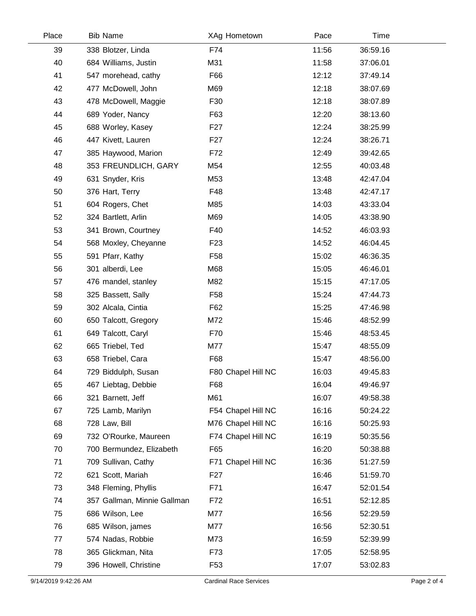| Place | <b>Bib Name</b>             | XAg Hometown       | Pace  | Time     |  |
|-------|-----------------------------|--------------------|-------|----------|--|
| 39    | 338 Blotzer, Linda          | F74                | 11:56 | 36:59.16 |  |
| 40    | 684 Williams, Justin        | M31                | 11:58 | 37:06.01 |  |
| 41    | 547 morehead, cathy         | F66                | 12:12 | 37:49.14 |  |
| 42    | 477 McDowell, John          | M69                | 12:18 | 38:07.69 |  |
| 43    | 478 McDowell, Maggie        | F30                | 12:18 | 38:07.89 |  |
| 44    | 689 Yoder, Nancy            | F63                | 12:20 | 38:13.60 |  |
| 45    | 688 Worley, Kasey           | F <sub>27</sub>    | 12:24 | 38:25.99 |  |
| 46    | 447 Kivett, Lauren          | F <sub>27</sub>    | 12:24 | 38:26.71 |  |
| 47    | 385 Haywood, Marion         | F72                | 12:49 | 39:42.65 |  |
| 48    | 353 FREUNDLICH, GARY        | M54                | 12:55 | 40:03.48 |  |
| 49    | 631 Snyder, Kris            | M53                | 13:48 | 42:47.04 |  |
| 50    | 376 Hart, Terry             | F48                | 13:48 | 42:47.17 |  |
| 51    | 604 Rogers, Chet            | M85                | 14:03 | 43:33.04 |  |
| 52    | 324 Bartlett, Arlin         | M69                | 14:05 | 43:38.90 |  |
| 53    | 341 Brown, Courtney         | F40                | 14:52 | 46:03.93 |  |
| 54    | 568 Moxley, Cheyanne        | F <sub>23</sub>    | 14:52 | 46:04.45 |  |
| 55    | 591 Pfarr, Kathy            | F <sub>58</sub>    | 15:02 | 46:36.35 |  |
| 56    | 301 alberdi, Lee            | M68                | 15:05 | 46:46.01 |  |
| 57    | 476 mandel, stanley         | M82                | 15:15 | 47:17.05 |  |
| 58    | 325 Bassett, Sally          | F <sub>58</sub>    | 15:24 | 47:44.73 |  |
| 59    | 302 Alcala, Cintia          | F62                | 15:25 | 47:46.98 |  |
| 60    | 650 Talcott, Gregory        | M72                | 15:46 | 48:52.99 |  |
| 61    | 649 Talcott, Caryl          | F70                | 15:46 | 48:53.45 |  |
| 62    | 665 Triebel, Ted            | M77                | 15:47 | 48:55.09 |  |
| 63    | 658 Triebel, Cara           | F68                | 15:47 | 48:56.00 |  |
| 64    | 729 Biddulph, Susan         | F80 Chapel Hill NC | 16:03 | 49:45.83 |  |
| 65    | 467 Liebtag, Debbie         | F68                | 16:04 | 49:46.97 |  |
| 66    | 321 Barnett, Jeff           | M61                | 16:07 | 49:58.38 |  |
| 67    | 725 Lamb, Marilyn           | F54 Chapel Hill NC | 16:16 | 50:24.22 |  |
| 68    | 728 Law, Bill               | M76 Chapel Hill NC | 16:16 | 50:25.93 |  |
| 69    | 732 O'Rourke, Maureen       | F74 Chapel Hill NC | 16:19 | 50:35.56 |  |
| 70    | 700 Bermundez, Elizabeth    | F65                | 16:20 | 50:38.88 |  |
| 71    | 709 Sullivan, Cathy         | F71 Chapel Hill NC | 16:36 | 51:27.59 |  |
| 72    | 621 Scott, Mariah           | F <sub>2</sub> 7   | 16:46 | 51:59.70 |  |
| 73    | 348 Fleming, Phyllis        | F71                | 16:47 | 52:01.54 |  |
| 74    | 357 Gallman, Minnie Gallman | F72                | 16:51 | 52:12.85 |  |
| 75    | 686 Wilson, Lee             | M77                | 16:56 | 52:29.59 |  |
| 76    | 685 Wilson, james           | M77                | 16:56 | 52:30.51 |  |
| 77    | 574 Nadas, Robbie           | M73                | 16:59 | 52:39.99 |  |
| 78    | 365 Glickman, Nita          | F73                | 17:05 | 52:58.95 |  |
| 79    | 396 Howell, Christine       | F <sub>53</sub>    | 17:07 | 53:02.83 |  |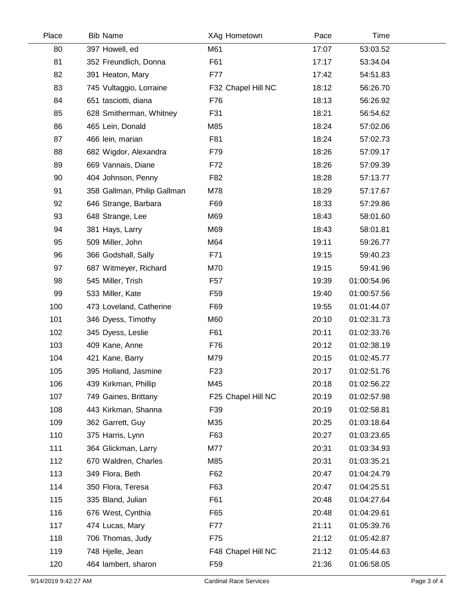| Place | <b>Bib Name</b>             | XAg Hometown       | Pace  | Time        |  |
|-------|-----------------------------|--------------------|-------|-------------|--|
| 80    | 397 Howell, ed              | M61                | 17:07 | 53:03.52    |  |
| 81    | 352 Freundlich, Donna       | F61                | 17:17 | 53:34.04    |  |
| 82    | 391 Heaton, Mary            | F77                | 17:42 | 54:51.83    |  |
| 83    | 745 Vultaggio, Lorraine     | F32 Chapel Hill NC | 18:12 | 56:26.70    |  |
| 84    | 651 tasciotti, diana        | F76                | 18:13 | 56:26.92    |  |
| 85    | 628 Smitherman, Whitney     | F31                | 18:21 | 56:54.62    |  |
| 86    | 465 Lein, Donald            | M85                | 18:24 | 57:02.06    |  |
| 87    | 466 lein, marian            | F81                | 18:24 | 57:02.73    |  |
| 88    | 682 Wigdor, Alexandra       | F79                | 18:26 | 57:09.17    |  |
| 89    | 669 Vannais, Diane          | F72                | 18:26 | 57:09.39    |  |
| 90    | 404 Johnson, Penny          | F82                | 18:28 | 57:13.77    |  |
| 91    | 358 Gallman, Philip Gallman | M78                | 18:29 | 57:17.67    |  |
| 92    | 646 Strange, Barbara        | F69                | 18:33 | 57:29.86    |  |
| 93    | 648 Strange, Lee            | M69                | 18:43 | 58:01.60    |  |
| 94    | 381 Hays, Larry             | M69                | 18:43 | 58:01.81    |  |
| 95    | 509 Miller, John            | M64                | 19:11 | 59:26.77    |  |
| 96    | 366 Godshall, Sally         | F71                | 19:15 | 59:40.23    |  |
| 97    | 687 Witmeyer, Richard       | M70                | 19:15 | 59:41.96    |  |
| 98    | 545 Miller, Trish           | F <sub>57</sub>    | 19:39 | 01:00:54.96 |  |
| 99    | 533 Miller, Kate            | F <sub>59</sub>    | 19:40 | 01:00:57.56 |  |
| 100   | 473 Loveland, Catherine     | F69                | 19:55 | 01:01:44.07 |  |
| 101   | 346 Dyess, Timothy          | M60                | 20:10 | 01:02:31.73 |  |
| 102   | 345 Dyess, Leslie           | F61                | 20:11 | 01:02:33.76 |  |
| 103   | 409 Kane, Anne              | F76                | 20:12 | 01:02:38.19 |  |
| 104   | 421 Kane, Barry             | M79                | 20:15 | 01:02:45.77 |  |
| 105   | 395 Holland, Jasmine        | F <sub>23</sub>    | 20:17 | 01:02:51.76 |  |
| 106   | 439 Kirkman, Phillip        | M45                | 20:18 | 01:02:56.22 |  |
| 107   | 749 Gaines, Brittany        | F25 Chapel Hill NC | 20:19 | 01:02:57.98 |  |
| 108   | 443 Kirkman, Shanna         | F39                | 20:19 | 01:02:58.81 |  |
| 109   | 362 Garrett, Guy            | M35                | 20:25 | 01:03:18.64 |  |
| 110   | 375 Harris, Lynn            | F63                | 20:27 | 01:03:23.65 |  |
| 111   | 364 Glickman, Larry         | M77                | 20:31 | 01:03:34.93 |  |
| 112   | 670 Waldren, Charles        | M85                | 20:31 | 01:03:35.21 |  |
| 113   | 349 Flora, Beth             | F62                | 20:47 | 01:04:24.79 |  |
| 114   | 350 Flora, Teresa           | F63                | 20:47 | 01:04:25.51 |  |
| 115   | 335 Bland, Julian           | F61                | 20:48 | 01:04:27.64 |  |
| 116   | 676 West, Cynthia           | F65                | 20:48 | 01:04:29.61 |  |
| 117   | 474 Lucas, Mary             | F77                | 21:11 | 01:05:39.76 |  |
| 118   | 706 Thomas, Judy            | F75                | 21:12 | 01:05:42.87 |  |
| 119   | 748 Hjelle, Jean            | F48 Chapel Hill NC | 21:12 | 01:05:44.63 |  |
| 120   | 464 lambert, sharon         | F <sub>59</sub>    | 21:36 | 01:06:58.05 |  |
|       |                             |                    |       |             |  |